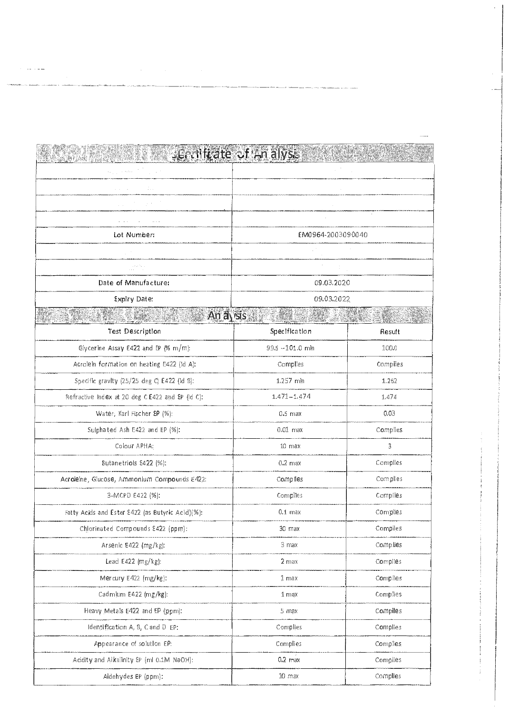| KATAN PARTY BARREN R                             | -Eruilitate of An alysis |          |
|--------------------------------------------------|--------------------------|----------|
|                                                  |                          |          |
|                                                  |                          |          |
| in a                                             |                          |          |
|                                                  |                          |          |
| Lot Number:                                      | EM0964-2003090040        |          |
|                                                  |                          |          |
| and the a                                        |                          |          |
| Date of Manufacture:                             | 09.03.2020               |          |
| <b>Expiry Date:</b>                              | 09.03.2022               |          |
|                                                  | An avisis                |          |
| <b>Test Description</b>                          | Specification            | Result   |
| Glycerine Assay E422 and EP (% m/m):             | 99.5 -101.0 mln          | 100,0    |
| Acrolein formation on heating E422 (ld A):       | Complies                 | Complies |
| Specific gravity (25/25 deg Q E422 (id B):       | 1.257 min                | 1.262    |
| Refractive Index at 20 deg C E422 and EP (Id C): | $1.471 - 1.474$          | 1474     |
| Water, Karl Fischer EP (%):                      | $0.5$ max                | 0.03     |
| Sulphated Ash E422 and EP (%):                   | $0.01$ max               | Complies |
| Colour APHA:                                     | $10 \,$ max              | 3        |
| Butanetriols E422 (%):                           | $0.2 \text{ max}$        | Complies |
| Acroleine, Glucose, Ammonium Compounds E422:     | Complies                 | Complies |
| 3-MCPD E422 (%):                                 | Complies                 | Compiles |
| Fatty Acids and Ester E422 (as Butyric Acid)(%): | $0.1$ max                | Complies |
| Chlorinated Compounds E422 (ppm):                | 30 max                   | Compiles |
| Arsenic E422 (mg/kg):                            | 3 max                    | Complies |
| Lead E422 (mg/kg):                               | $2$ max                  | Compiles |
| Mercury E422 (mg/kg):                            | 1 <sub>max</sub>         | Complies |
| Cadmium E422 (mg/kg):                            | $1 \text{ max}$          | Complies |
| Heavy Metals E422 and EP (ppm):                  | 5 max                    | Compiles |
| Identification A, B, C and D EP:                 | Complies                 | Complies |
| Appearance of solution EP:                       | Complies                 | Complies |
| Acidity and Alkalinity EP (ml 0.1M NaOH):        | $0.2$ max                | Complies |
| Aldehydes EP (ppm):                              | $10 \text{ max}$         | Complies |

an ngayor<br>Sanggunian<br>Sanggunian

 $\mathcal{L}^{\mathcal{L}}(\mathcal{L}^{\mathcal{L}})$  and  $\mathcal{L}^{\mathcal{L}}(\mathcal{L}^{\mathcal{L}})$  and  $\mathcal{L}^{\mathcal{L}}(\mathcal{L}^{\mathcal{L}})$  and  $\mathcal{L}^{\mathcal{L}}(\mathcal{L}^{\mathcal{L}})$